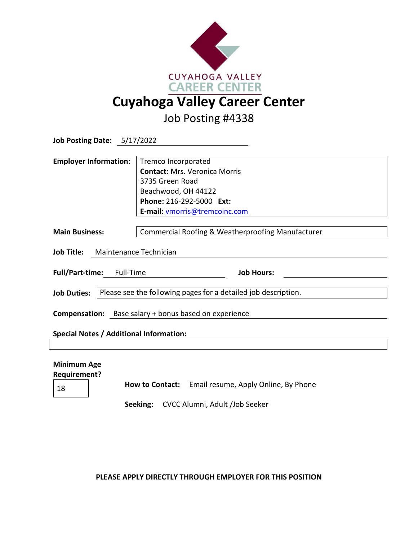

Job Posting #4338

| Job Posting Date: 5/17/2022                                                                                    |                                                                                                                                                                    |
|----------------------------------------------------------------------------------------------------------------|--------------------------------------------------------------------------------------------------------------------------------------------------------------------|
| <b>Employer Information:</b>                                                                                   | Tremco Incorporated<br><b>Contact: Mrs. Veronica Morris</b><br>3735 Green Road<br>Beachwood, OH 44122<br>Phone: 216-292-5000 Ext:<br>E-mail: vmorris@tremcoinc.com |
| <b>Main Business:</b>                                                                                          | Commercial Roofing & Weatherproofing Manufacturer                                                                                                                  |
| Job Title: Maintenance Technician                                                                              |                                                                                                                                                                    |
| Full/Part-time: Full-Time                                                                                      | <b>Job Hours:</b>                                                                                                                                                  |
| <b>Job Duties:</b>                                                                                             | Please see the following pages for a detailed job description.                                                                                                     |
| <b>Compensation:</b> Base salary + bonus based on experience                                                   |                                                                                                                                                                    |
| Special Notes / Additional Information:                                                                        |                                                                                                                                                                    |
|                                                                                                                |                                                                                                                                                                    |
| <b>Minimum Age</b><br><b>Requirement?</b><br><b>How to Contact:</b> Email resume, Apply Online, By Phone<br>18 |                                                                                                                                                                    |

**Seeking:** CVCC Alumni, Adult /Job Seeker

**PLEASE APPLY DIRECTLY THROUGH EMPLOYER FOR THIS POSITION**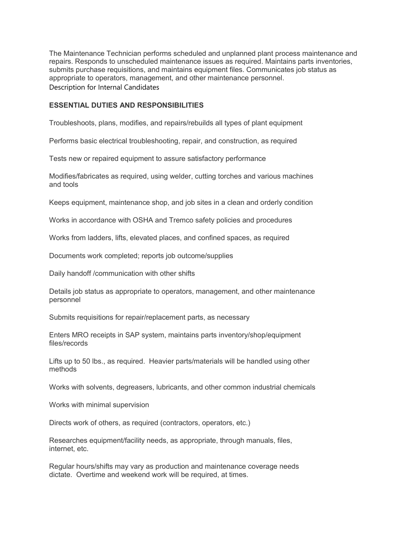The Maintenance Technician performs scheduled and unplanned plant process maintenance and repairs. Responds to unscheduled maintenance issues as required. Maintains parts inventories, submits purchase requisitions, and maintains equipment files. Communicates job status as appropriate to operators, management, and other maintenance personnel. Description for Internal Candidates

## **ESSENTIAL DUTIES AND RESPONSIBILITIES**

Troubleshoots, plans, modifies, and repairs/rebuilds all types of plant equipment

Performs basic electrical troubleshooting, repair, and construction, as required

Tests new or repaired equipment to assure satisfactory performance

Modifies/fabricates as required, using welder, cutting torches and various machines and tools

Keeps equipment, maintenance shop, and job sites in a clean and orderly condition

Works in accordance with OSHA and Tremco safety policies and procedures

Works from ladders, lifts, elevated places, and confined spaces, as required

Documents work completed; reports job outcome/supplies

Daily handoff /communication with other shifts

Details job status as appropriate to operators, management, and other maintenance personnel

Submits requisitions for repair/replacement parts, as necessary

Enters MRO receipts in SAP system, maintains parts inventory/shop/equipment files/records

Lifts up to 50 lbs., as required. Heavier parts/materials will be handled using other methods

Works with solvents, degreasers, lubricants, and other common industrial chemicals

Works with minimal supervision

Directs work of others, as required (contractors, operators, etc.)

Researches equipment/facility needs, as appropriate, through manuals, files, internet, etc.

Regular hours/shifts may vary as production and maintenance coverage needs dictate. Overtime and weekend work will be required, at times.